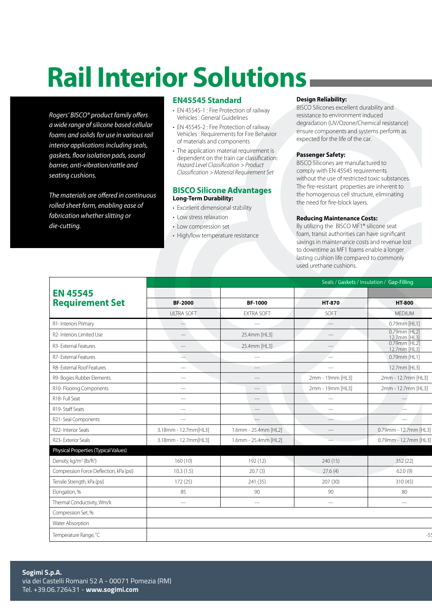# **Rail Interior Solutions**

*Rogers' BISCO® product family offers a wide range of silicone based cellular foams and solids for use in various rail interior applications including seals, gaskets, floor isolation pads, sound barrier, anti-vibration/rattle and seating cushions.*

*The materials are offered in continuous rolled sheet form, enabling ease of fabrication whether slitting or die-cutting.*

## **EN45545 Standard**

- EN 45545-1 : Fire Protection of railway Vehicles : General Guidelines
- EN 45545-2 : Fire Protection of railway Vehicles : Requirements for Fire Behavior of materials and components
- The application material requirement is dependent on the train car classification: *Hazard Level Classification > Product Classification > Material Requirement Set*

## **BISCO Silicone Advantages Long-Term Durability:**

- Excellent dimensional stability
- Low stress relaxation
- Low compression set
- High/low temperature resistance

## **Design Reliability:**

BISCO Silicones excellent durability and resistance to environment induced degradation (UV/Ozone/Chemical resistance) ensure components and systems perform as expected for the life of the car.

## **Passenger Safety:**

BISCO Silicones are manufactured to comply with EN 45545 requirements without the use of restricted toxic substances. The fire-resistant properties are inherent to the homogenous cell structure, eliminating the need for fire-block layers.

### **Reducing Maintenance Costs:**

By utilizing the BISCO MF1® silicone seat foam, transit authorities can have significant savings in maintenance costs and revenue lost to downtime as MF1 foams enable a longer lasting cushion life compared to commonly used urethane cushions.

|                                                  | Seals / Gaskets / Insulation / Gap-Filling |                          |                                        |                                   |
|--------------------------------------------------|--------------------------------------------|--------------------------|----------------------------------------|-----------------------------------|
| <b>EN 45545</b>                                  |                                            |                          |                                        |                                   |
| <b>Requirement Set</b>                           | <b>BF-2000</b>                             | <b>BF-1000</b>           | HT-870                                 | <b>HT-800</b>                     |
|                                                  | <b>ULTRA SOFT</b>                          | <b>EXTRA SOFT</b>        | SOFT                                   | <b>MEDIUM</b>                     |
| R1-Interiors Primary                             | $-\rightarrow$                             | $\overline{\phantom{a}}$ | $---$                                  | 0.79mm [HL1]                      |
| R2-Interiors Limited Use                         | $---$                                      | 25.4mm [HL3]             | $---$                                  | 0.79mm [HL2]<br>12.7mm [HL3]      |
| R3- External Features                            | $\hspace{0.05cm}\hspace{0.05cm}$           | 25.4mm [HL3]             | $\overline{\phantom{a}}$               | 0.79mm [HL2]<br>12.7mm [HL3]      |
| R7-External Features                             | L.                                         | $---$                    | <b>Contract</b>                        | 0.79mm [HL1]                      |
| R8- External Roof Features                       | $---$                                      | $---$                    | $--$                                   | 12.7mm [HL3]                      |
| R9- Bogies Rubber Elements                       | $\hspace{0.05cm}---$                       | $---$                    | 2mm - 19mm [HL3]                       | 2mm - 12.7mm [HL3]                |
| R10-Flooring Components                          | $\hspace{0.05cm}---$                       | $\hspace{1.5cm} \cdots$  | 2mm - 19mm [HL3]                       | 2mm - 12.7mm [HL3]                |
| R18- Full Seat                                   | $\hspace{0.05cm} \ldots \hspace{0.05cm}$   | $\hspace{1.5cm} \cdots$  | $  -$                                  | $\hspace{0.05cm} \dashrightarrow$ |
| R19-Staff Seats                                  | $---$                                      | $-\cdots$                | $  -$                                  | $---$                             |
| R21-Seal Components                              | $\cdots$                                   | $\overline{\phantom{a}}$ | $\hspace{0.1em} \ldots \hspace{0.1em}$ | $-\, -\, -$                       |
| R22-Interior Seals                               | 3.18mm - 12.7mm[HL3]                       | 1.6mm - 25.4mm [HL2]     | $---$                                  | 0.79mm - 12.7mm [HL3]             |
| R23- Exterior Seals                              | 3.18mm - 12.7mm[HL3]                       | 1.6mm - 25.4mm [HL2]     | $\sim$                                 | 0.79mm - 12.7mm [HL3]             |
| Physical Properties (Typical Values)             |                                            |                          |                                        |                                   |
| Density, kg/m <sup>3</sup> (lb/ft <sup>3</sup> ) | 160(10)                                    | 192 (12)                 | 240(15)                                | 352(22)                           |
| Compression Force Deflection, kPa (psi)          | 10.3(1.5)                                  | 20.7(3)                  | 27.6(4)                                | 62.0(9)                           |
| Tensile Strength, kPa (psi)                      | 172(25)                                    | 241 (35)                 | 207 (30)                               | 310(45)                           |
| Elongation, %                                    | 85                                         | 90                       | 90                                     | 80                                |
| Thermal Conductivity, Wm/k                       | $-\!-\!$                                   | $---$                    | $---$                                  | $---$                             |
| Compression Set, %                               |                                            |                          |                                        |                                   |
| Water Absorption                                 |                                            |                          |                                        |                                   |
| Temperature Range, °C                            |                                            |                          |                                        |                                   |